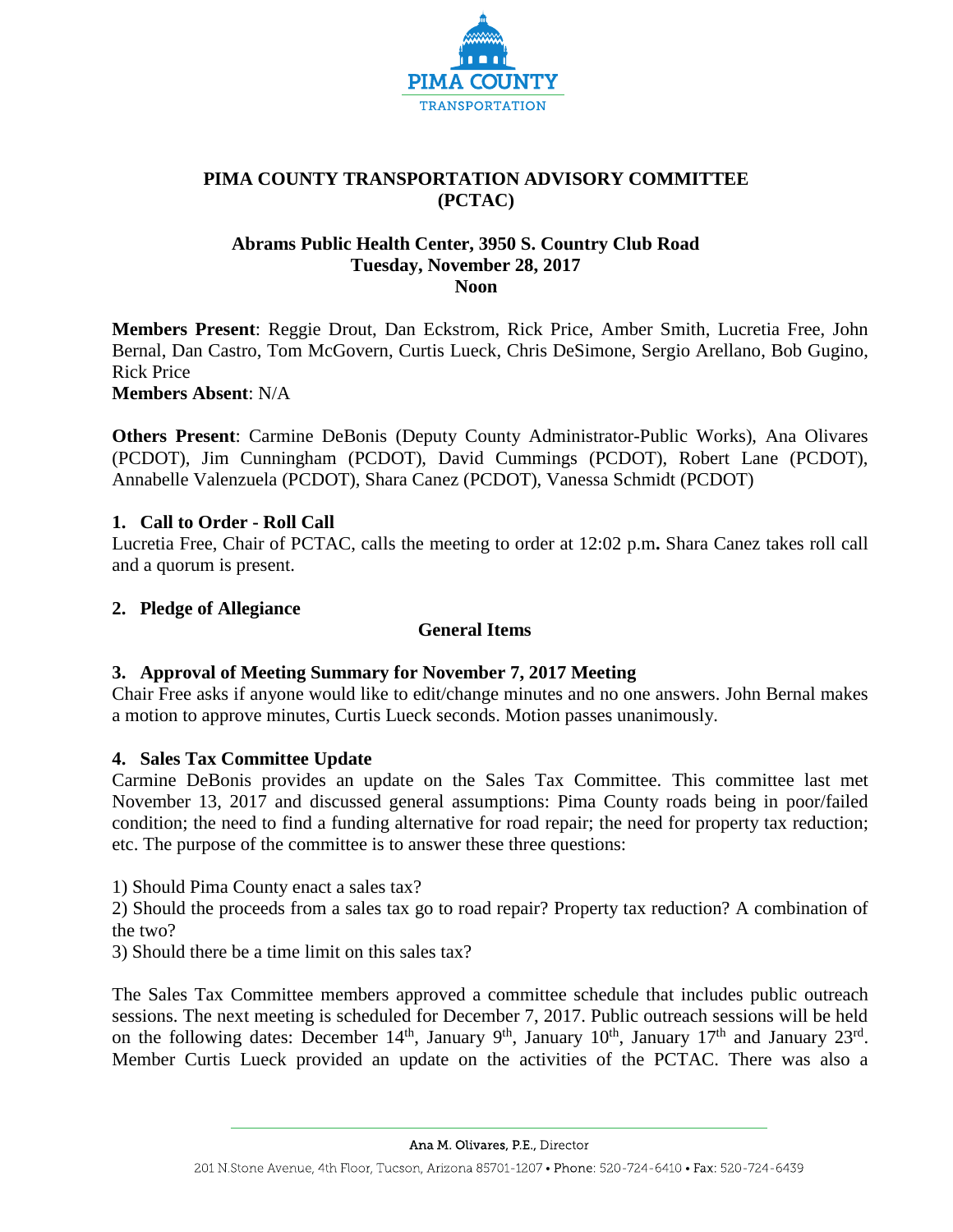

# **PIMA COUNTY TRANSPORTATION ADVISORY COMMITTEE (PCTAC)**

## **Abrams Public Health Center, 3950 S. Country Club Road Tuesday, November 28, 2017 Noon**

**Members Present**: Reggie Drout, Dan Eckstrom, Rick Price, Amber Smith, Lucretia Free, John Bernal, Dan Castro, Tom McGovern, Curtis Lueck, Chris DeSimone, Sergio Arellano, Bob Gugino, Rick Price

**Members Absent**: N/A

**Others Present**: Carmine DeBonis (Deputy County Administrator-Public Works), Ana Olivares (PCDOT), Jim Cunningham (PCDOT), David Cummings (PCDOT), Robert Lane (PCDOT), Annabelle Valenzuela (PCDOT), Shara Canez (PCDOT), Vanessa Schmidt (PCDOT)

# **1. Call to Order - Roll Call**

Lucretia Free, Chair of PCTAC, calls the meeting to order at 12:02 p.m**.** Shara Canez takes roll call and a quorum is present.

## **2. Pledge of Allegiance**

# **General Items**

# **3. Approval of Meeting Summary for November 7, 2017 Meeting**

Chair Free asks if anyone would like to edit/change minutes and no one answers. John Bernal makes a motion to approve minutes, Curtis Lueck seconds. Motion passes unanimously.

#### **4. Sales Tax Committee Update**

Carmine DeBonis provides an update on the Sales Tax Committee. This committee last met November 13, 2017 and discussed general assumptions: Pima County roads being in poor/failed condition; the need to find a funding alternative for road repair; the need for property tax reduction; etc. The purpose of the committee is to answer these three questions:

1) Should Pima County enact a sales tax?

2) Should the proceeds from a sales tax go to road repair? Property tax reduction? A combination of the two?

3) Should there be a time limit on this sales tax?

The Sales Tax Committee members approved a committee schedule that includes public outreach sessions. The next meeting is scheduled for December 7, 2017. Public outreach sessions will be held on the following dates: December 14<sup>th</sup>, January 9<sup>th</sup>, January 10<sup>th</sup>, January 17<sup>th</sup> and January 23<sup>rd</sup>. Member Curtis Lueck provided an update on the activities of the PCTAC. There was also a

Ana M. Olivares, P.E., Director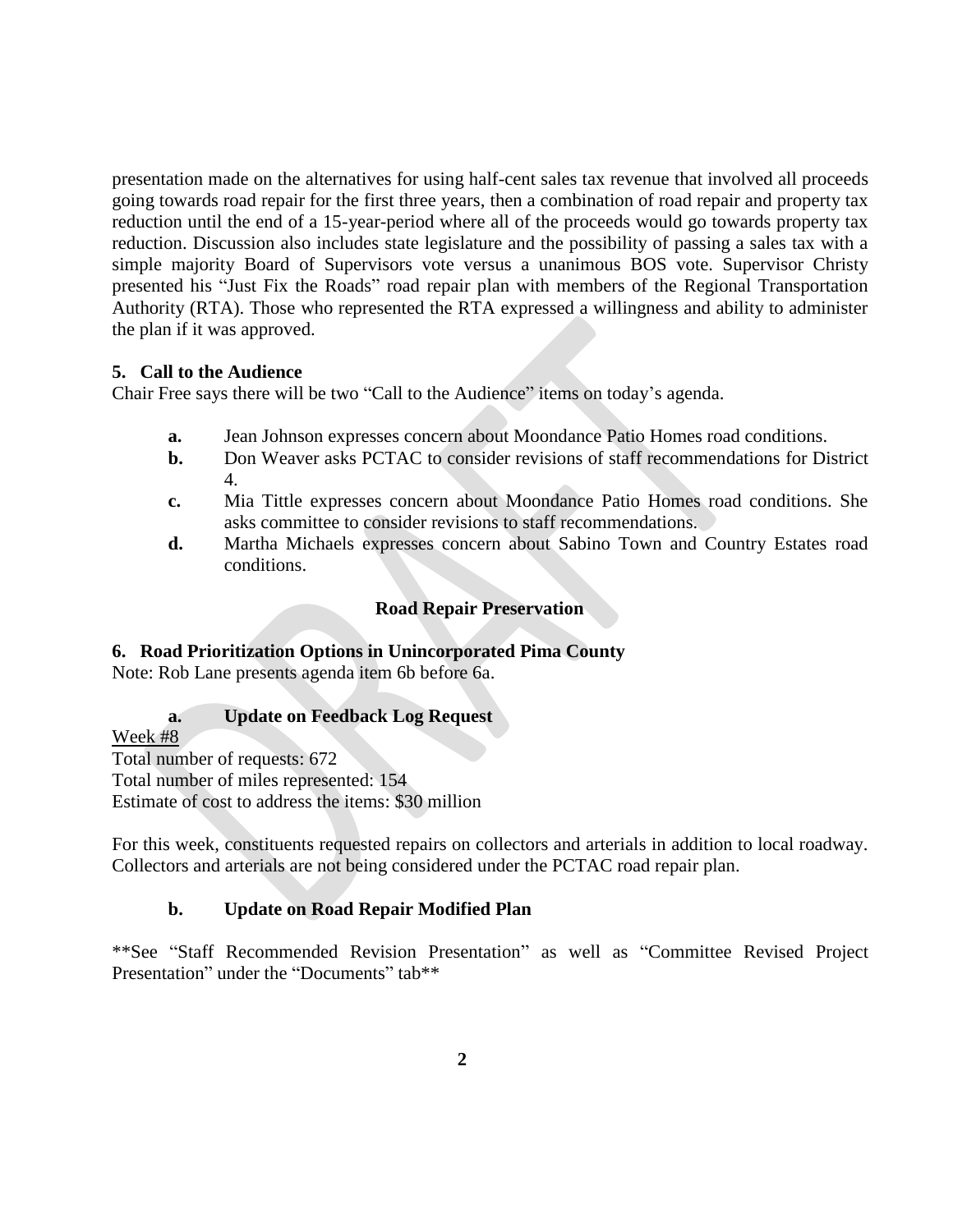presentation made on the alternatives for using half-cent sales tax revenue that involved all proceeds going towards road repair for the first three years, then a combination of road repair and property tax reduction until the end of a 15-year-period where all of the proceeds would go towards property tax reduction. Discussion also includes state legislature and the possibility of passing a sales tax with a simple majority Board of Supervisors vote versus a unanimous BOS vote. Supervisor Christy presented his "Just Fix the Roads" road repair plan with members of the Regional Transportation Authority (RTA). Those who represented the RTA expressed a willingness and ability to administer the plan if it was approved.

## **5. Call to the Audience**

Chair Free says there will be two "Call to the Audience" items on today's agenda.

- **a.** Jean Johnson expresses concern about Moondance Patio Homes road conditions.
- **b.** Don Weaver asks PCTAC to consider revisions of staff recommendations for District 4.
- **c.** Mia Tittle expresses concern about Moondance Patio Homes road conditions. She asks committee to consider revisions to staff recommendations.
- **d.** Martha Michaels expresses concern about Sabino Town and Country Estates road conditions.

## **Road Repair Preservation**

#### **6. Road Prioritization Options in Unincorporated Pima County**

Note: Rob Lane presents agenda item 6b before 6a.

#### **a. Update on Feedback Log Request**

Week #8

Total number of requests: 672 Total number of miles represented: 154 Estimate of cost to address the items: \$30 million

For this week, constituents requested repairs on collectors and arterials in addition to local roadway. Collectors and arterials are not being considered under the PCTAC road repair plan.

# **b. Update on Road Repair Modified Plan**

\*\*See "Staff Recommended Revision Presentation" as well as "Committee Revised Project Presentation" under the "Documents" tab\*\*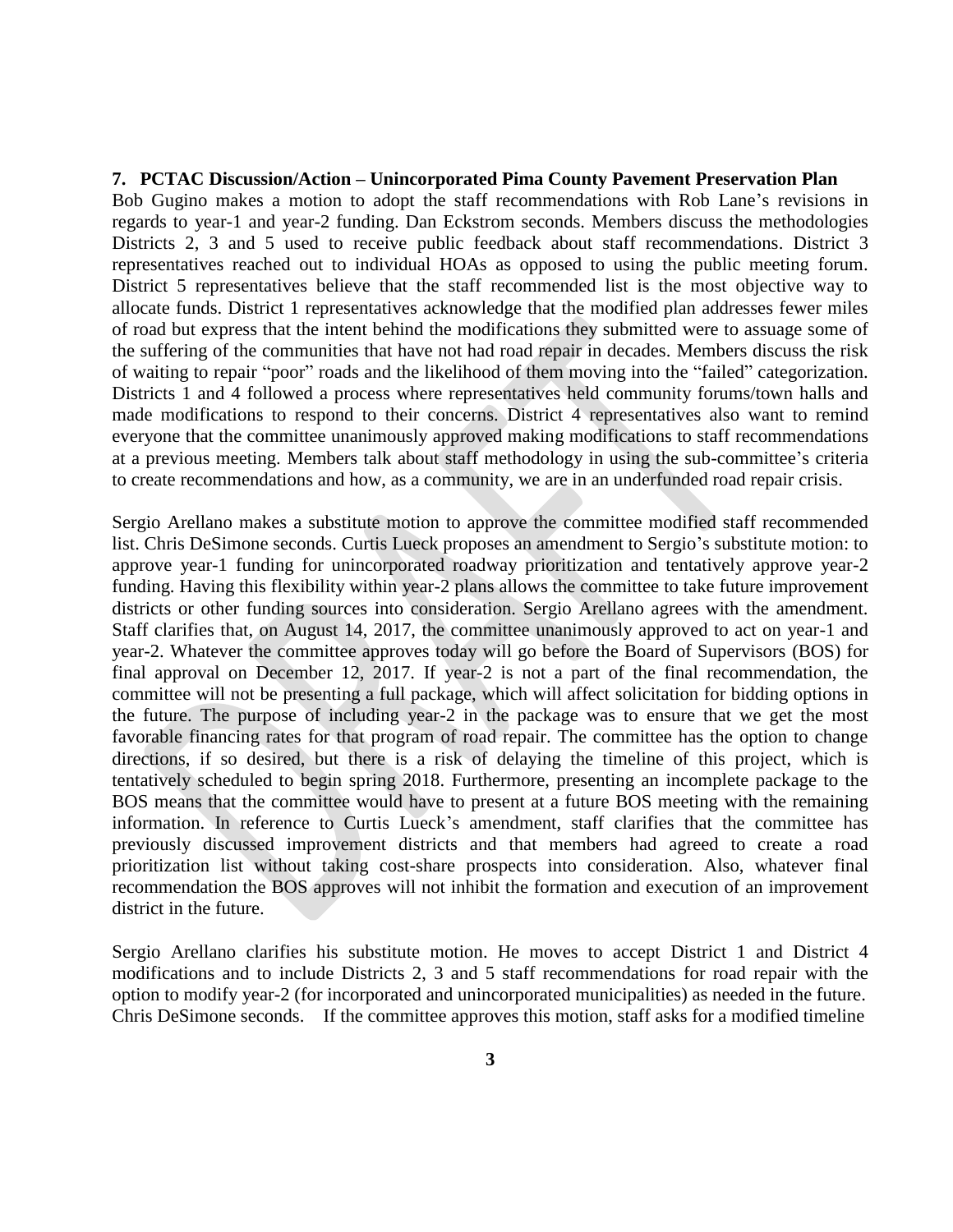#### **7. PCTAC Discussion/Action – Unincorporated Pima County Pavement Preservation Plan**

Bob Gugino makes a motion to adopt the staff recommendations with Rob Lane's revisions in regards to year-1 and year-2 funding. Dan Eckstrom seconds. Members discuss the methodologies Districts 2, 3 and 5 used to receive public feedback about staff recommendations. District 3 representatives reached out to individual HOAs as opposed to using the public meeting forum. District 5 representatives believe that the staff recommended list is the most objective way to allocate funds. District 1 representatives acknowledge that the modified plan addresses fewer miles of road but express that the intent behind the modifications they submitted were to assuage some of the suffering of the communities that have not had road repair in decades. Members discuss the risk of waiting to repair "poor" roads and the likelihood of them moving into the "failed" categorization. Districts 1 and 4 followed a process where representatives held community forums/town halls and made modifications to respond to their concerns. District 4 representatives also want to remind everyone that the committee unanimously approved making modifications to staff recommendations at a previous meeting. Members talk about staff methodology in using the sub-committee's criteria to create recommendations and how, as a community, we are in an underfunded road repair crisis.

Sergio Arellano makes a substitute motion to approve the committee modified staff recommended list. Chris DeSimone seconds. Curtis Lueck proposes an amendment to Sergio's substitute motion: to approve year-1 funding for unincorporated roadway prioritization and tentatively approve year-2 funding. Having this flexibility within year-2 plans allows the committee to take future improvement districts or other funding sources into consideration. Sergio Arellano agrees with the amendment. Staff clarifies that, on August 14, 2017, the committee unanimously approved to act on year-1 and year-2. Whatever the committee approves today will go before the Board of Supervisors (BOS) for final approval on December 12, 2017. If year-2 is not a part of the final recommendation, the committee will not be presenting a full package, which will affect solicitation for bidding options in the future. The purpose of including year-2 in the package was to ensure that we get the most favorable financing rates for that program of road repair. The committee has the option to change directions, if so desired, but there is a risk of delaying the timeline of this project, which is tentatively scheduled to begin spring 2018. Furthermore, presenting an incomplete package to the BOS means that the committee would have to present at a future BOS meeting with the remaining information. In reference to Curtis Lueck's amendment, staff clarifies that the committee has previously discussed improvement districts and that members had agreed to create a road prioritization list without taking cost-share prospects into consideration. Also, whatever final recommendation the BOS approves will not inhibit the formation and execution of an improvement district in the future.

Sergio Arellano clarifies his substitute motion. He moves to accept District 1 and District 4 modifications and to include Districts 2, 3 and 5 staff recommendations for road repair with the option to modify year-2 (for incorporated and unincorporated municipalities) as needed in the future. Chris DeSimone seconds. If the committee approves this motion, staff asks for a modified timeline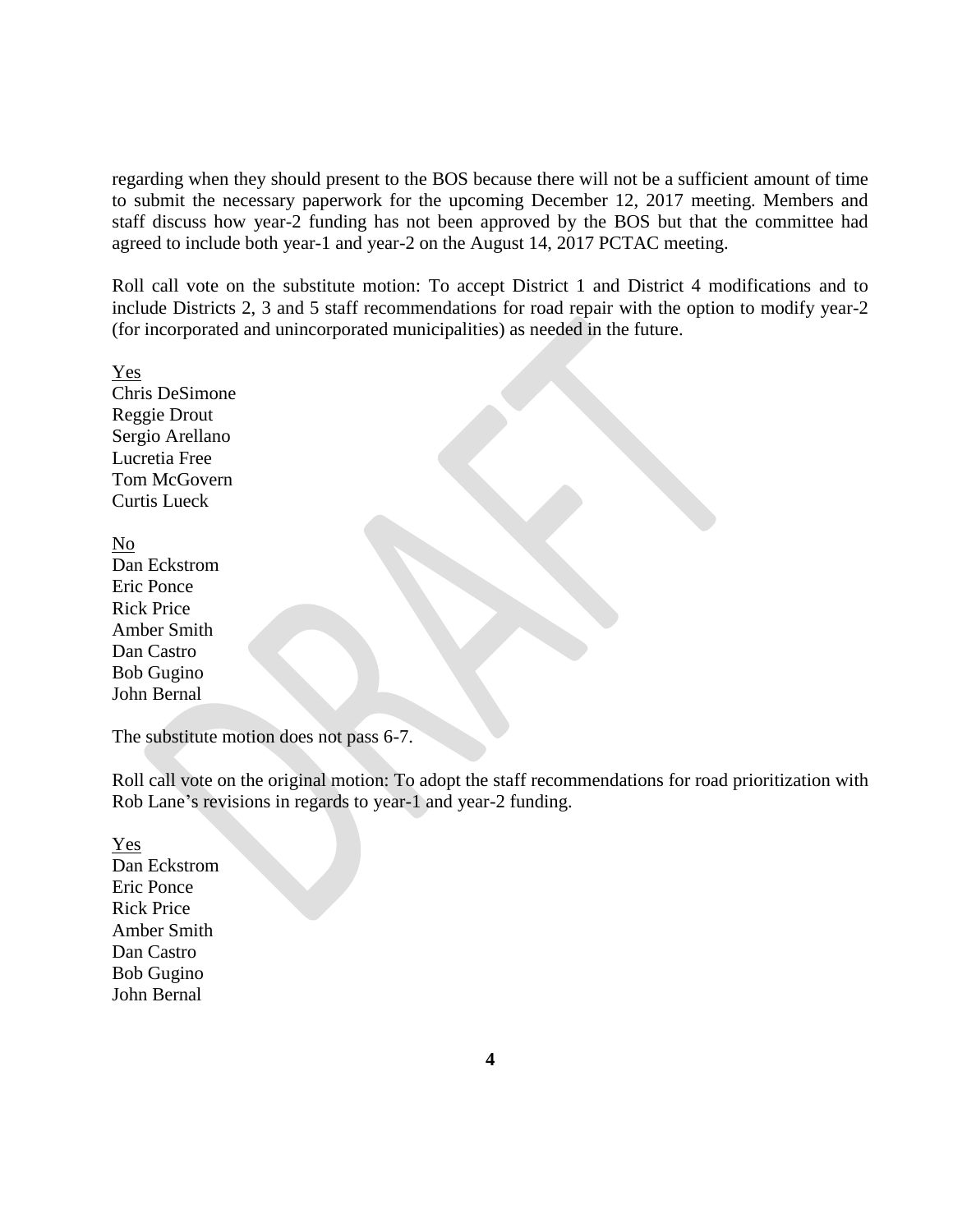regarding when they should present to the BOS because there will not be a sufficient amount of time to submit the necessary paperwork for the upcoming December 12, 2017 meeting. Members and staff discuss how year-2 funding has not been approved by the BOS but that the committee had agreed to include both year-1 and year-2 on the August 14, 2017 PCTAC meeting.

Roll call vote on the substitute motion: To accept District 1 and District 4 modifications and to include Districts 2, 3 and 5 staff recommendations for road repair with the option to modify year-2 (for incorporated and unincorporated municipalities) as needed in the future.

Yes Chris DeSimone Reggie Drout Sergio Arellano Lucretia Free Tom McGovern Curtis Lueck

No Dan Eckstrom Eric Ponce Rick Price Amber Smith Dan Castro Bob Gugino John Bernal

The substitute motion does not pass 6-7.

Roll call vote on the original motion: To adopt the staff recommendations for road prioritization with Rob Lane's revisions in regards to year-1 and year-2 funding.

Yes Dan Eckstrom Eric Ponce Rick Price Amber Smith Dan Castro Bob Gugino John Bernal